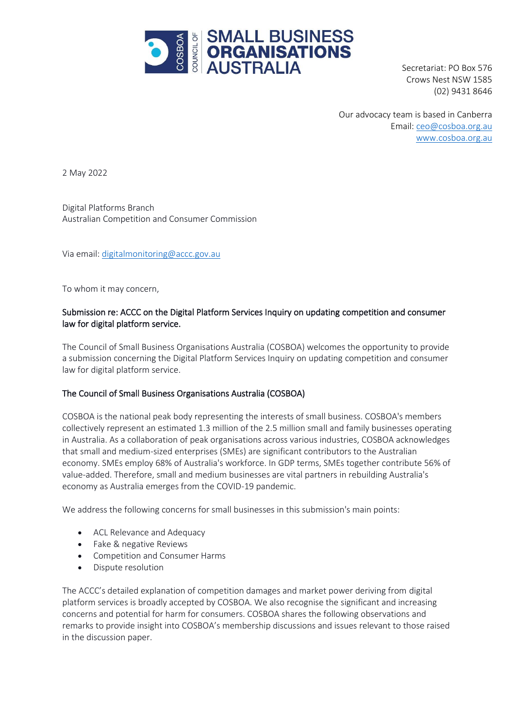

Secretariat: PO Box 576 Crows Nest NSW 1585 (02) 9431 8646

Our advocacy team is based in Canberra Email: [ceo@cosboa.org.au](mailto:alexi@cosboa.org.au) [www.cosboa.org.au](http://www.cosboa.org.au/)

2 May 2022

Digital Platforms Branch Australian Competition and Consumer Commission

Via email[: digitalmonitoring@accc.gov.au](mailto:digitalmonitoring@accc.gov.au)

To whom it may concern,

# Submission re: ACCC on the Digital Platform Services Inquiry on updating competition and consumer law for digital platform service.

The Council of Small Business Organisations Australia (COSBOA) welcomes the opportunity to provide a submission concerning the Digital Platform Services Inquiry on updating competition and consumer law for digital platform service.

## The Council of Small Business Organisations Australia (COSBOA)

COSBOA is the national peak body representing the interests of small business. COSBOA's members collectively represent an estimated 1.3 million of the 2.5 million small and family businesses operating in Australia. As a collaboration of peak organisations across various industries, COSBOA acknowledges that small and medium-sized enterprises (SMEs) are significant contributors to the Australian economy. SMEs employ 68% of Australia's workforce. In GDP terms, SMEs together contribute 56% of value-added. Therefore, small and medium businesses are vital partners in rebuilding Australia's economy as Australia emerges from the COVID-19 pandemic.

We address the following concerns for small businesses in this submission's main points:

- ACL Relevance and Adequacy
- Fake & negative Reviews
- Competition and Consumer Harms
- Dispute resolution

The ACCC's detailed explanation of competition damages and market power deriving from digital platform services is broadly accepted by COSBOA. We also recognise the significant and increasing concerns and potential for harm for consumers. COSBOA shares the following observations and remarks to provide insight into COSBOA's membership discussions and issues relevant to those raised in the discussion paper.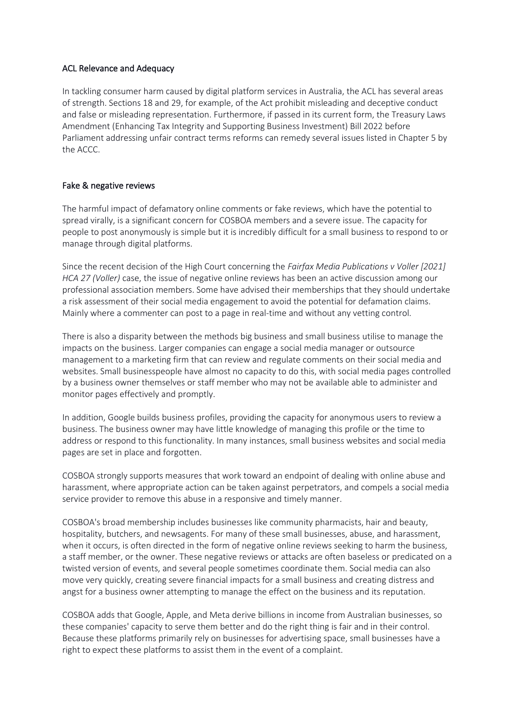### ACL Relevance and Adequacy

In tackling consumer harm caused by digital platform services in Australia, the ACL has several areas of strength. Sections 18 and 29, for example, of the Act prohibit misleading and deceptive conduct and false or misleading representation. Furthermore, if passed in its current form, the Treasury Laws Amendment (Enhancing Tax Integrity and Supporting Business Investment) Bill 2022 before Parliament addressing unfair contract terms reforms can remedy several issues listed in Chapter 5 by the ACCC.

## Fake & negative reviews

The harmful impact of defamatory online comments or fake reviews, which have the potential to spread virally, is a significant concern for COSBOA members and a severe issue. The capacity for people to post anonymously is simple but it is incredibly difficult for a small business to respond to or manage through digital platforms.

Since the recent decision of the High Court concerning the *Fairfax Media Publications v Voller [2021] HCA 27 (Voller)* case, the issue of negative online reviews has been an active discussion among our professional association members. Some have advised their memberships that they should undertake a risk assessment of their social media engagement to avoid the potential for defamation claims. Mainly where a commenter can post to a page in real-time and without any vetting control.

There is also a disparity between the methods big business and small business utilise to manage the impacts on the business. Larger companies can engage a social media manager or outsource management to a marketing firm that can review and regulate comments on their social media and websites. Small businesspeople have almost no capacity to do this, with social media pages controlled by a business owner themselves or staff member who may not be available able to administer and monitor pages effectively and promptly.

In addition, Google builds business profiles, providing the capacity for anonymous users to review a business. The business owner may have little knowledge of managing this profile or the time to address or respond to this functionality. In many instances, small business websites and social media pages are set in place and forgotten.

COSBOA strongly supports measures that work toward an endpoint of dealing with online abuse and harassment, where appropriate action can be taken against perpetrators, and compels a social media service provider to remove this abuse in a responsive and timely manner.

COSBOA's broad membership includes businesses like community pharmacists, hair and beauty, hospitality, butchers, and newsagents. For many of these small businesses, abuse, and harassment, when it occurs, is often directed in the form of negative online reviews seeking to harm the business, a staff member, or the owner. These negative reviews or attacks are often baseless or predicated on a twisted version of events, and several people sometimes coordinate them. Social media can also move very quickly, creating severe financial impacts for a small business and creating distress and angst for a business owner attempting to manage the effect on the business and its reputation.

COSBOA adds that Google, Apple, and Meta derive billions in income from Australian businesses, so these companies' capacity to serve them better and do the right thing is fair and in their control. Because these platforms primarily rely on businesses for advertising space, small businesses have a right to expect these platforms to assist them in the event of a complaint.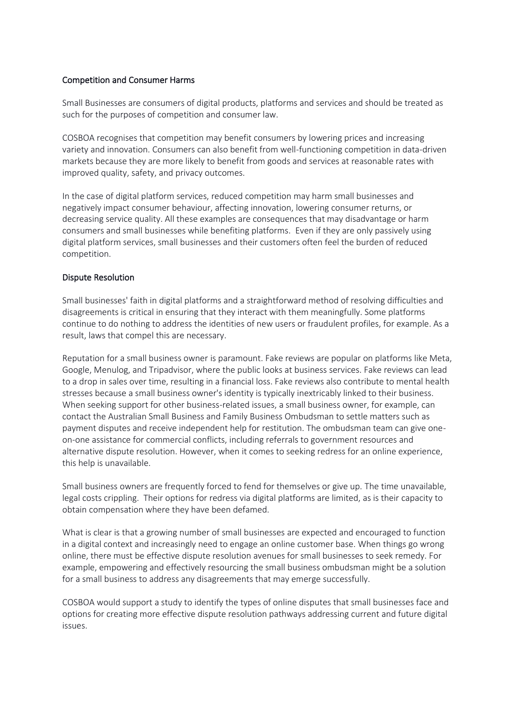#### Competition and Consumer Harms

Small Businesses are consumers of digital products, platforms and services and should be treated as such for the purposes of competition and consumer law.

COSBOA recognises that competition may benefit consumers by lowering prices and increasing variety and innovation. Consumers can also benefit from well-functioning competition in data-driven markets because they are more likely to benefit from goods and services at reasonable rates with improved quality, safety, and privacy outcomes.

In the case of digital platform services, reduced competition may harm small businesses and negatively impact consumer behaviour, affecting innovation, lowering consumer returns, or decreasing service quality. All these examples are consequences that may disadvantage or harm consumers and small businesses while benefiting platforms. Even if they are only passively using digital platform services, small businesses and their customers often feel the burden of reduced competition.

## Dispute Resolution

Small businesses' faith in digital platforms and a straightforward method of resolving difficulties and disagreements is critical in ensuring that they interact with them meaningfully. Some platforms continue to do nothing to address the identities of new users or fraudulent profiles, for example. As a result, laws that compel this are necessary.

Reputation for a small business owner is paramount. Fake reviews are popular on platforms like Meta, Google, Menulog, and Tripadvisor, where the public looks at business services. Fake reviews can lead to a drop in sales over time, resulting in a financial loss. Fake reviews also contribute to mental health stresses because a small business owner's identity is typically inextricably linked to their business. When seeking support for other business-related issues, a small business owner, for example, can contact the Australian Small Business and Family Business Ombudsman to settle matters such as payment disputes and receive independent help for restitution. The ombudsman team can give oneon-one assistance for commercial conflicts, including referrals to government resources and alternative dispute resolution. However, when it comes to seeking redress for an online experience, this help is unavailable.

Small business owners are frequently forced to fend for themselves or give up. The time unavailable, legal costs crippling. Their options for redress via digital platforms are limited, as is their capacity to obtain compensation where they have been defamed.

What is clear is that a growing number of small businesses are expected and encouraged to function in a digital context and increasingly need to engage an online customer base. When things go wrong online, there must be effective dispute resolution avenues for small businesses to seek remedy. For example, empowering and effectively resourcing the small business ombudsman might be a solution for a small business to address any disagreements that may emerge successfully.

COSBOA would support a study to identify the types of online disputes that small businesses face and options for creating more effective dispute resolution pathways addressing current and future digital issues.